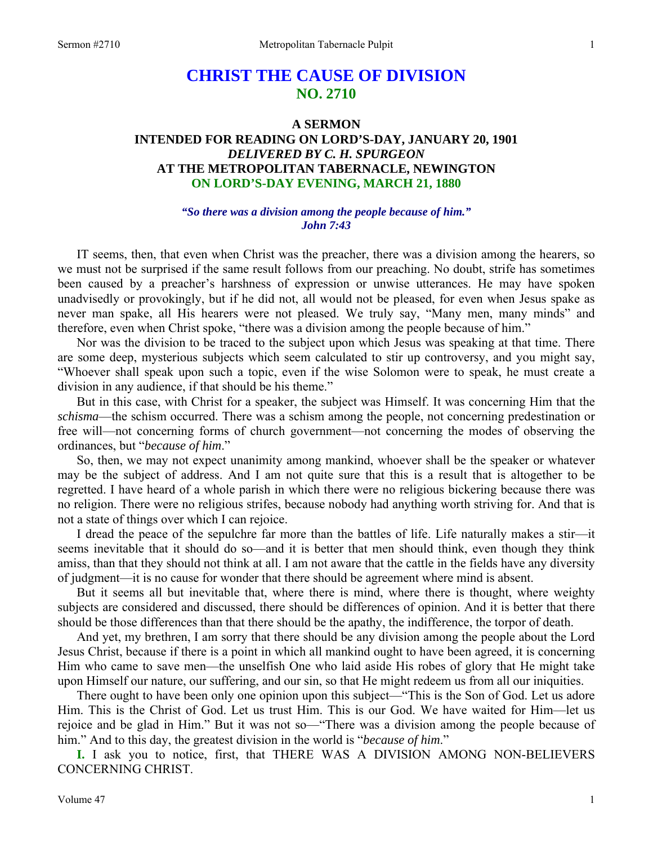# **CHRIST THE CAUSE OF DIVISION NO. 2710**

# **A SERMON INTENDED FOR READING ON LORD'S-DAY, JANUARY 20, 1901**  *DELIVERED BY C. H. SPURGEON*  **AT THE METROPOLITAN TABERNACLE, NEWINGTON ON LORD'S-DAY EVENING, MARCH 21, 1880**

### *"So there was a division among the people because of him." John 7:43*

IT seems, then, that even when Christ was the preacher, there was a division among the hearers, so we must not be surprised if the same result follows from our preaching. No doubt, strife has sometimes been caused by a preacher's harshness of expression or unwise utterances. He may have spoken unadvisedly or provokingly, but if he did not, all would not be pleased, for even when Jesus spake as never man spake, all His hearers were not pleased. We truly say, "Many men, many minds" and therefore, even when Christ spoke, "there was a division among the people because of him."

 Nor was the division to be traced to the subject upon which Jesus was speaking at that time. There are some deep, mysterious subjects which seem calculated to stir up controversy, and you might say, "Whoever shall speak upon such a topic, even if the wise Solomon were to speak, he must create a division in any audience, if that should be his theme."

 But in this case, with Christ for a speaker, the subject was Himself. It was concerning Him that the *schisma*—the schism occurred. There was a schism among the people, not concerning predestination or free will—not concerning forms of church government—not concerning the modes of observing the ordinances, but "*because of him*."

 So, then, we may not expect unanimity among mankind, whoever shall be the speaker or whatever may be the subject of address. And I am not quite sure that this is a result that is altogether to be regretted. I have heard of a whole parish in which there were no religious bickering because there was no religion. There were no religious strifes, because nobody had anything worth striving for. And that is not a state of things over which I can rejoice.

 I dread the peace of the sepulchre far more than the battles of life. Life naturally makes a stir—it seems inevitable that it should do so—and it is better that men should think, even though they think amiss, than that they should not think at all. I am not aware that the cattle in the fields have any diversity of judgment—it is no cause for wonder that there should be agreement where mind is absent.

 But it seems all but inevitable that, where there is mind, where there is thought, where weighty subjects are considered and discussed, there should be differences of opinion. And it is better that there should be those differences than that there should be the apathy, the indifference, the torpor of death.

 And yet, my brethren, I am sorry that there should be any division among the people about the Lord Jesus Christ, because if there is a point in which all mankind ought to have been agreed, it is concerning Him who came to save men—the unselfish One who laid aside His robes of glory that He might take upon Himself our nature, our suffering, and our sin, so that He might redeem us from all our iniquities.

 There ought to have been only one opinion upon this subject—"This is the Son of God. Let us adore Him. This is the Christ of God. Let us trust Him. This is our God. We have waited for Him—let us rejoice and be glad in Him." But it was not so—"There was a division among the people because of him." And to this day, the greatest division in the world is "*because of him*."

**I.** I ask you to notice, first, that THERE WAS A DIVISION AMONG NON-BELIEVERS CONCERNING CHRIST.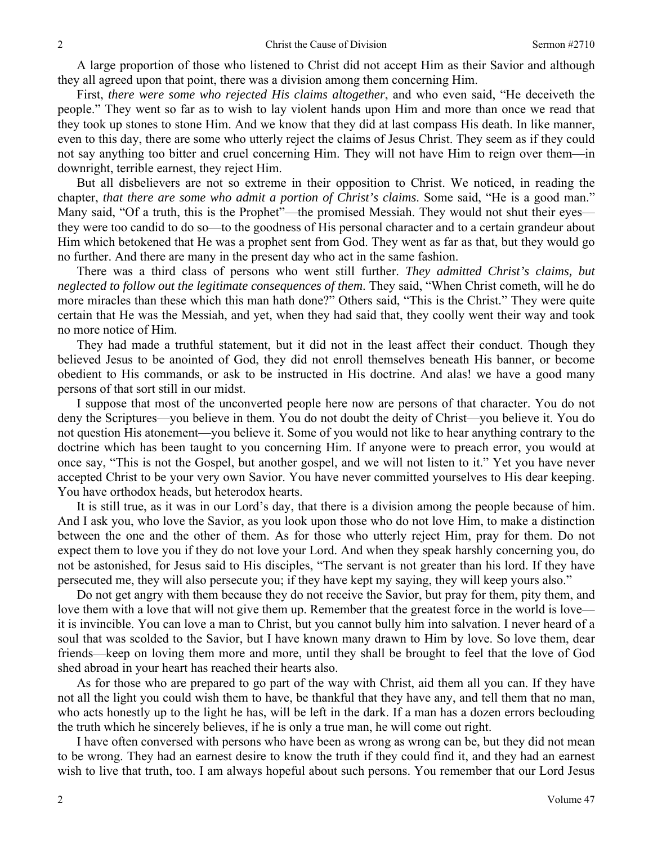A large proportion of those who listened to Christ did not accept Him as their Savior and although they all agreed upon that point, there was a division among them concerning Him.

 First, *there were some who rejected His claims altogether*, and who even said, "He deceiveth the people." They went so far as to wish to lay violent hands upon Him and more than once we read that they took up stones to stone Him. And we know that they did at last compass His death. In like manner, even to this day, there are some who utterly reject the claims of Jesus Christ. They seem as if they could not say anything too bitter and cruel concerning Him. They will not have Him to reign over them—in downright, terrible earnest, they reject Him.

 But all disbelievers are not so extreme in their opposition to Christ. We noticed, in reading the chapter, *that there are some who admit a portion of Christ's claims*. Some said, "He is a good man." Many said, "Of a truth, this is the Prophet"—the promised Messiah. They would not shut their eyes they were too candid to do so—to the goodness of His personal character and to a certain grandeur about Him which betokened that He was a prophet sent from God. They went as far as that, but they would go no further. And there are many in the present day who act in the same fashion.

 There was a third class of persons who went still further. *They admitted Christ's claims, but neglected to follow out the legitimate consequences of them*. They said, "When Christ cometh, will he do more miracles than these which this man hath done?" Others said, "This is the Christ." They were quite certain that He was the Messiah, and yet, when they had said that, they coolly went their way and took no more notice of Him.

 They had made a truthful statement, but it did not in the least affect their conduct. Though they believed Jesus to be anointed of God, they did not enroll themselves beneath His banner, or become obedient to His commands, or ask to be instructed in His doctrine. And alas! we have a good many persons of that sort still in our midst.

 I suppose that most of the unconverted people here now are persons of that character. You do not deny the Scriptures—you believe in them. You do not doubt the deity of Christ—you believe it. You do not question His atonement—you believe it. Some of you would not like to hear anything contrary to the doctrine which has been taught to you concerning Him. If anyone were to preach error, you would at once say, "This is not the Gospel, but another gospel, and we will not listen to it." Yet you have never accepted Christ to be your very own Savior. You have never committed yourselves to His dear keeping. You have orthodox heads, but heterodox hearts.

 It is still true, as it was in our Lord's day, that there is a division among the people because of him. And I ask you, who love the Savior, as you look upon those who do not love Him, to make a distinction between the one and the other of them. As for those who utterly reject Him, pray for them. Do not expect them to love you if they do not love your Lord. And when they speak harshly concerning you, do not be astonished, for Jesus said to His disciples, "The servant is not greater than his lord. If they have persecuted me, they will also persecute you; if they have kept my saying, they will keep yours also."

 Do not get angry with them because they do not receive the Savior, but pray for them, pity them, and love them with a love that will not give them up. Remember that the greatest force in the world is love it is invincible. You can love a man to Christ, but you cannot bully him into salvation. I never heard of a soul that was scolded to the Savior, but I have known many drawn to Him by love. So love them, dear friends—keep on loving them more and more, until they shall be brought to feel that the love of God shed abroad in your heart has reached their hearts also.

 As for those who are prepared to go part of the way with Christ, aid them all you can. If they have not all the light you could wish them to have, be thankful that they have any, and tell them that no man, who acts honestly up to the light he has, will be left in the dark. If a man has a dozen errors beclouding the truth which he sincerely believes, if he is only a true man, he will come out right.

 I have often conversed with persons who have been as wrong as wrong can be, but they did not mean to be wrong. They had an earnest desire to know the truth if they could find it, and they had an earnest wish to live that truth, too. I am always hopeful about such persons. You remember that our Lord Jesus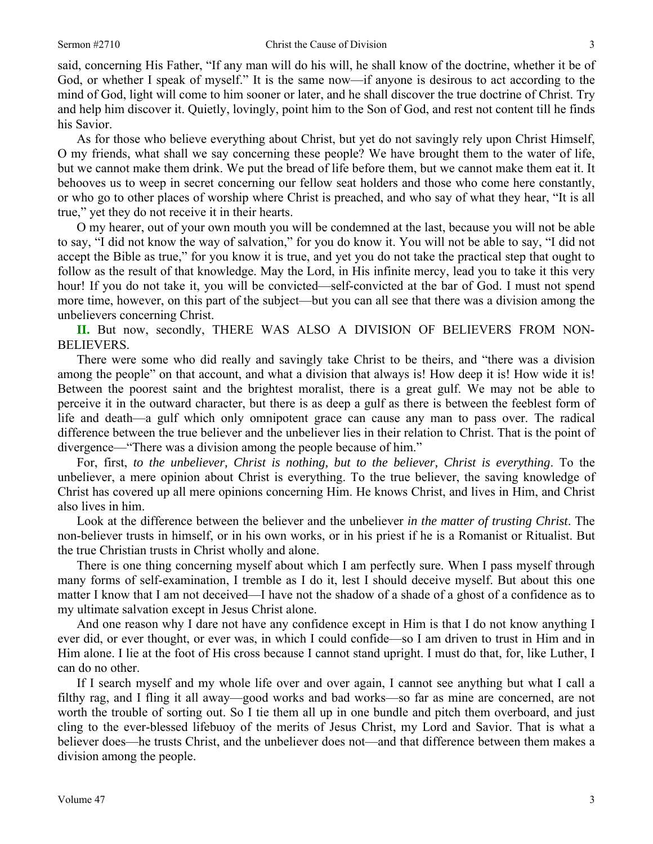said, concerning His Father, "If any man will do his will, he shall know of the doctrine, whether it be of God, or whether I speak of myself." It is the same now—if anyone is desirous to act according to the mind of God, light will come to him sooner or later, and he shall discover the true doctrine of Christ. Try and help him discover it. Quietly, lovingly, point him to the Son of God, and rest not content till he finds his Savior.

 As for those who believe everything about Christ, but yet do not savingly rely upon Christ Himself, O my friends, what shall we say concerning these people? We have brought them to the water of life, but we cannot make them drink. We put the bread of life before them, but we cannot make them eat it. It behooves us to weep in secret concerning our fellow seat holders and those who come here constantly, or who go to other places of worship where Christ is preached, and who say of what they hear, "It is all true," yet they do not receive it in their hearts.

 O my hearer, out of your own mouth you will be condemned at the last, because you will not be able to say, "I did not know the way of salvation," for you do know it. You will not be able to say, "I did not accept the Bible as true," for you know it is true, and yet you do not take the practical step that ought to follow as the result of that knowledge. May the Lord, in His infinite mercy, lead you to take it this very hour! If you do not take it, you will be convicted—self-convicted at the bar of God. I must not spend more time, however, on this part of the subject—but you can all see that there was a division among the unbelievers concerning Christ.

II. But now, secondly, THERE WAS ALSO A DIVISION OF BELIEVERS FROM NON-BELIEVERS.

 There were some who did really and savingly take Christ to be theirs, and "there was a division among the people" on that account, and what a division that always is! How deep it is! How wide it is! Between the poorest saint and the brightest moralist, there is a great gulf. We may not be able to perceive it in the outward character, but there is as deep a gulf as there is between the feeblest form of life and death—a gulf which only omnipotent grace can cause any man to pass over. The radical difference between the true believer and the unbeliever lies in their relation to Christ. That is the point of divergence—"There was a division among the people because of him."

 For, first, *to the unbeliever, Christ is nothing, but to the believer, Christ is everything*. To the unbeliever, a mere opinion about Christ is everything. To the true believer, the saving knowledge of Christ has covered up all mere opinions concerning Him. He knows Christ, and lives in Him, and Christ also lives in him.

 Look at the difference between the believer and the unbeliever *in the matter of trusting Christ*. The non-believer trusts in himself, or in his own works, or in his priest if he is a Romanist or Ritualist. But the true Christian trusts in Christ wholly and alone.

 There is one thing concerning myself about which I am perfectly sure. When I pass myself through many forms of self-examination, I tremble as I do it, lest I should deceive myself. But about this one matter I know that I am not deceived—I have not the shadow of a shade of a ghost of a confidence as to my ultimate salvation except in Jesus Christ alone.

 And one reason why I dare not have any confidence except in Him is that I do not know anything I ever did, or ever thought, or ever was, in which I could confide—so I am driven to trust in Him and in Him alone. I lie at the foot of His cross because I cannot stand upright. I must do that, for, like Luther, I can do no other.

 If I search myself and my whole life over and over again, I cannot see anything but what I call a filthy rag, and I fling it all away—good works and bad works—so far as mine are concerned, are not worth the trouble of sorting out. So I tie them all up in one bundle and pitch them overboard, and just cling to the ever-blessed lifebuoy of the merits of Jesus Christ, my Lord and Savior. That is what a believer does—he trusts Christ, and the unbeliever does not—and that difference between them makes a division among the people.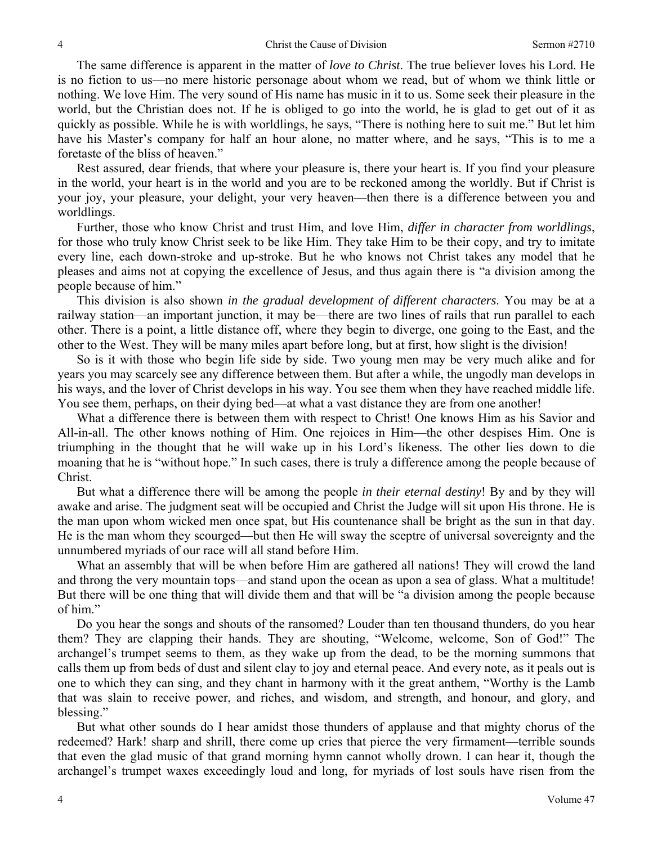The same difference is apparent in the matter of *love to Christ*. The true believer loves his Lord. He is no fiction to us—no mere historic personage about whom we read, but of whom we think little or nothing. We love Him. The very sound of His name has music in it to us. Some seek their pleasure in the world, but the Christian does not. If he is obliged to go into the world, he is glad to get out of it as quickly as possible. While he is with worldlings, he says, "There is nothing here to suit me." But let him have his Master's company for half an hour alone, no matter where, and he says, "This is to me a foretaste of the bliss of heaven."

 Rest assured, dear friends, that where your pleasure is, there your heart is. If you find your pleasure in the world, your heart is in the world and you are to be reckoned among the worldly. But if Christ is your joy, your pleasure, your delight, your very heaven—then there is a difference between you and worldlings.

 Further, those who know Christ and trust Him, and love Him, *differ in character from worldlings*, for those who truly know Christ seek to be like Him. They take Him to be their copy, and try to imitate every line, each down-stroke and up-stroke. But he who knows not Christ takes any model that he pleases and aims not at copying the excellence of Jesus, and thus again there is "a division among the people because of him."

 This division is also shown *in the gradual development of different characters*. You may be at a railway station—an important junction, it may be—there are two lines of rails that run parallel to each other. There is a point, a little distance off, where they begin to diverge, one going to the East, and the other to the West. They will be many miles apart before long, but at first, how slight is the division!

 So is it with those who begin life side by side. Two young men may be very much alike and for years you may scarcely see any difference between them. But after a while, the ungodly man develops in his ways, and the lover of Christ develops in his way. You see them when they have reached middle life. You see them, perhaps, on their dying bed—at what a vast distance they are from one another!

 What a difference there is between them with respect to Christ! One knows Him as his Savior and All-in-all. The other knows nothing of Him. One rejoices in Him—the other despises Him. One is triumphing in the thought that he will wake up in his Lord's likeness. The other lies down to die moaning that he is "without hope." In such cases, there is truly a difference among the people because of Christ.

 But what a difference there will be among the people *in their eternal destiny*! By and by they will awake and arise. The judgment seat will be occupied and Christ the Judge will sit upon His throne. He is the man upon whom wicked men once spat, but His countenance shall be bright as the sun in that day. He is the man whom they scourged—but then He will sway the sceptre of universal sovereignty and the unnumbered myriads of our race will all stand before Him.

 What an assembly that will be when before Him are gathered all nations! They will crowd the land and throng the very mountain tops—and stand upon the ocean as upon a sea of glass. What a multitude! But there will be one thing that will divide them and that will be "a division among the people because of him."

 Do you hear the songs and shouts of the ransomed? Louder than ten thousand thunders, do you hear them? They are clapping their hands. They are shouting, "Welcome, welcome, Son of God!" The archangel's trumpet seems to them, as they wake up from the dead, to be the morning summons that calls them up from beds of dust and silent clay to joy and eternal peace. And every note, as it peals out is one to which they can sing, and they chant in harmony with it the great anthem, "Worthy is the Lamb that was slain to receive power, and riches, and wisdom, and strength, and honour, and glory, and blessing."

 But what other sounds do I hear amidst those thunders of applause and that mighty chorus of the redeemed? Hark! sharp and shrill, there come up cries that pierce the very firmament—terrible sounds that even the glad music of that grand morning hymn cannot wholly drown. I can hear it, though the archangel's trumpet waxes exceedingly loud and long, for myriads of lost souls have risen from the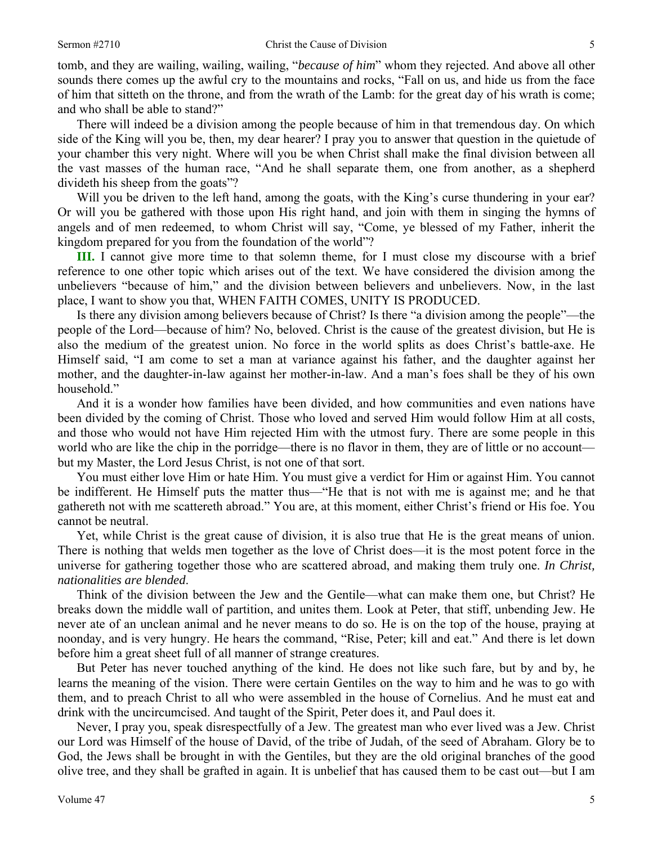tomb, and they are wailing, wailing, wailing, "*because of him*" whom they rejected. And above all other sounds there comes up the awful cry to the mountains and rocks, "Fall on us, and hide us from the face of him that sitteth on the throne, and from the wrath of the Lamb: for the great day of his wrath is come; and who shall be able to stand?"

 There will indeed be a division among the people because of him in that tremendous day. On which side of the King will you be, then, my dear hearer? I pray you to answer that question in the quietude of your chamber this very night. Where will you be when Christ shall make the final division between all the vast masses of the human race, "And he shall separate them, one from another, as a shepherd divideth his sheep from the goats"?

Will you be driven to the left hand, among the goats, with the King's curse thundering in your ear? Or will you be gathered with those upon His right hand, and join with them in singing the hymns of angels and of men redeemed, to whom Christ will say, "Come, ye blessed of my Father, inherit the kingdom prepared for you from the foundation of the world"?

**III.** I cannot give more time to that solemn theme, for I must close my discourse with a brief reference to one other topic which arises out of the text. We have considered the division among the unbelievers "because of him," and the division between believers and unbelievers. Now, in the last place, I want to show you that, WHEN FAITH COMES, UNITY IS PRODUCED.

 Is there any division among believers because of Christ? Is there "a division among the people"—the people of the Lord—because of him? No, beloved. Christ is the cause of the greatest division, but He is also the medium of the greatest union. No force in the world splits as does Christ's battle-axe. He Himself said, "I am come to set a man at variance against his father, and the daughter against her mother, and the daughter-in-law against her mother-in-law. And a man's foes shall be they of his own household."

 And it is a wonder how families have been divided, and how communities and even nations have been divided by the coming of Christ. Those who loved and served Him would follow Him at all costs, and those who would not have Him rejected Him with the utmost fury. There are some people in this world who are like the chip in the porridge—there is no flavor in them, they are of little or no account but my Master, the Lord Jesus Christ, is not one of that sort.

 You must either love Him or hate Him. You must give a verdict for Him or against Him. You cannot be indifferent. He Himself puts the matter thus—"He that is not with me is against me; and he that gathereth not with me scattereth abroad." You are, at this moment, either Christ's friend or His foe. You cannot be neutral.

 Yet, while Christ is the great cause of division, it is also true that He is the great means of union. There is nothing that welds men together as the love of Christ does—it is the most potent force in the universe for gathering together those who are scattered abroad, and making them truly one. *In Christ, nationalities are blended*.

 Think of the division between the Jew and the Gentile—what can make them one, but Christ? He breaks down the middle wall of partition, and unites them. Look at Peter, that stiff, unbending Jew. He never ate of an unclean animal and he never means to do so. He is on the top of the house, praying at noonday, and is very hungry. He hears the command, "Rise, Peter; kill and eat." And there is let down before him a great sheet full of all manner of strange creatures.

 But Peter has never touched anything of the kind. He does not like such fare, but by and by, he learns the meaning of the vision. There were certain Gentiles on the way to him and he was to go with them, and to preach Christ to all who were assembled in the house of Cornelius. And he must eat and drink with the uncircumcised. And taught of the Spirit, Peter does it, and Paul does it.

 Never, I pray you, speak disrespectfully of a Jew. The greatest man who ever lived was a Jew. Christ our Lord was Himself of the house of David, of the tribe of Judah, of the seed of Abraham. Glory be to God, the Jews shall be brought in with the Gentiles, but they are the old original branches of the good olive tree, and they shall be grafted in again. It is unbelief that has caused them to be cast out—but I am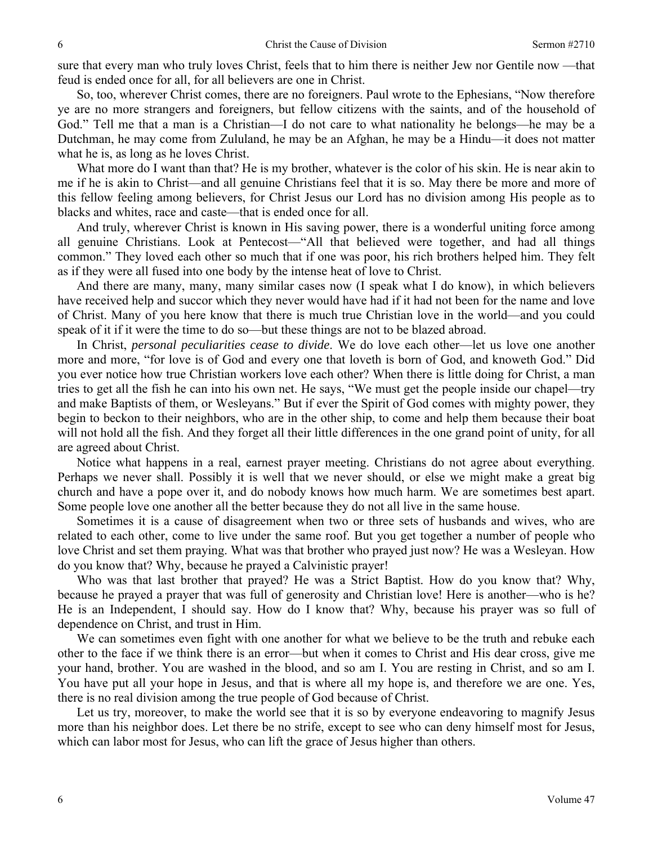sure that every man who truly loves Christ, feels that to him there is neither Jew nor Gentile now —that feud is ended once for all, for all believers are one in Christ.

 So, too, wherever Christ comes, there are no foreigners. Paul wrote to the Ephesians, "Now therefore ye are no more strangers and foreigners, but fellow citizens with the saints, and of the household of God." Tell me that a man is a Christian—I do not care to what nationality he belongs—he may be a Dutchman, he may come from Zululand, he may be an Afghan, he may be a Hindu—it does not matter what he is, as long as he loves Christ.

What more do I want than that? He is my brother, whatever is the color of his skin. He is near akin to me if he is akin to Christ—and all genuine Christians feel that it is so. May there be more and more of this fellow feeling among believers, for Christ Jesus our Lord has no division among His people as to blacks and whites, race and caste—that is ended once for all.

 And truly, wherever Christ is known in His saving power, there is a wonderful uniting force among all genuine Christians. Look at Pentecost—"All that believed were together, and had all things common." They loved each other so much that if one was poor, his rich brothers helped him. They felt as if they were all fused into one body by the intense heat of love to Christ.

 And there are many, many, many similar cases now (I speak what I do know), in which believers have received help and succor which they never would have had if it had not been for the name and love of Christ. Many of you here know that there is much true Christian love in the world—and you could speak of it if it were the time to do so—but these things are not to be blazed abroad.

 In Christ, *personal peculiarities cease to divide*. We do love each other—let us love one another more and more, "for love is of God and every one that loveth is born of God, and knoweth God." Did you ever notice how true Christian workers love each other? When there is little doing for Christ, a man tries to get all the fish he can into his own net. He says, "We must get the people inside our chapel—try and make Baptists of them, or Wesleyans." But if ever the Spirit of God comes with mighty power, they begin to beckon to their neighbors, who are in the other ship, to come and help them because their boat will not hold all the fish. And they forget all their little differences in the one grand point of unity, for all are agreed about Christ.

 Notice what happens in a real, earnest prayer meeting. Christians do not agree about everything. Perhaps we never shall. Possibly it is well that we never should, or else we might make a great big church and have a pope over it, and do nobody knows how much harm. We are sometimes best apart. Some people love one another all the better because they do not all live in the same house.

 Sometimes it is a cause of disagreement when two or three sets of husbands and wives, who are related to each other, come to live under the same roof. But you get together a number of people who love Christ and set them praying. What was that brother who prayed just now? He was a Wesleyan. How do you know that? Why, because he prayed a Calvinistic prayer!

 Who was that last brother that prayed? He was a Strict Baptist. How do you know that? Why, because he prayed a prayer that was full of generosity and Christian love! Here is another—who is he? He is an Independent, I should say. How do I know that? Why, because his prayer was so full of dependence on Christ, and trust in Him.

 We can sometimes even fight with one another for what we believe to be the truth and rebuke each other to the face if we think there is an error—but when it comes to Christ and His dear cross, give me your hand, brother. You are washed in the blood, and so am I. You are resting in Christ, and so am I. You have put all your hope in Jesus, and that is where all my hope is, and therefore we are one. Yes, there is no real division among the true people of God because of Christ.

 Let us try, moreover, to make the world see that it is so by everyone endeavoring to magnify Jesus more than his neighbor does. Let there be no strife, except to see who can deny himself most for Jesus, which can labor most for Jesus, who can lift the grace of Jesus higher than others.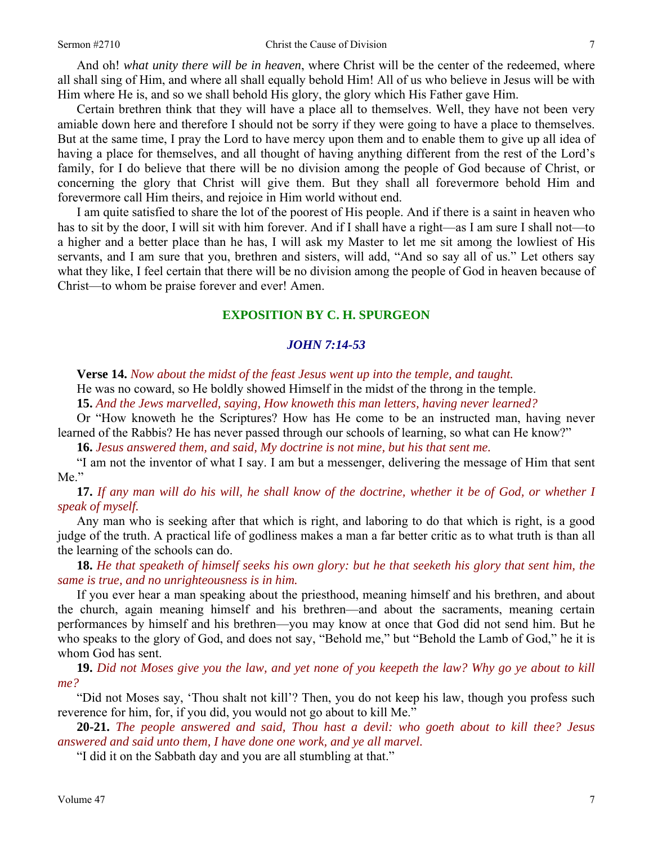And oh! *what unity there will be in heaven*, where Christ will be the center of the redeemed, where all shall sing of Him, and where all shall equally behold Him! All of us who believe in Jesus will be with Him where He is, and so we shall behold His glory, the glory which His Father gave Him.

 Certain brethren think that they will have a place all to themselves. Well, they have not been very amiable down here and therefore I should not be sorry if they were going to have a place to themselves. But at the same time, I pray the Lord to have mercy upon them and to enable them to give up all idea of having a place for themselves, and all thought of having anything different from the rest of the Lord's family, for I do believe that there will be no division among the people of God because of Christ, or concerning the glory that Christ will give them. But they shall all forevermore behold Him and forevermore call Him theirs, and rejoice in Him world without end.

 I am quite satisfied to share the lot of the poorest of His people. And if there is a saint in heaven who has to sit by the door, I will sit with him forever. And if I shall have a right—as I am sure I shall not—to a higher and a better place than he has, I will ask my Master to let me sit among the lowliest of His servants, and I am sure that you, brethren and sisters, will add, "And so say all of us." Let others say what they like, I feel certain that there will be no division among the people of God in heaven because of Christ—to whom be praise forever and ever! Amen.

#### **EXPOSITION BY C. H. SPURGEON**

#### *JOHN 7:14-53*

**Verse 14.** *Now about the midst of the feast Jesus went up into the temple, and taught.* 

He was no coward, so He boldly showed Himself in the midst of the throng in the temple.

**15.** *And the Jews marvelled, saying, How knoweth this man letters, having never learned?* 

Or "How knoweth he the Scriptures? How has He come to be an instructed man, having never learned of the Rabbis? He has never passed through our schools of learning, so what can He know?"

**16.** *Jesus answered them, and said, My doctrine is not mine, but his that sent me.* 

"I am not the inventor of what I say. I am but a messenger, delivering the message of Him that sent Me."

**17.** *If any man will do his will, he shall know of the doctrine, whether it be of God, or whether I speak of myself.* 

Any man who is seeking after that which is right, and laboring to do that which is right, is a good judge of the truth. A practical life of godliness makes a man a far better critic as to what truth is than all the learning of the schools can do.

**18.** *He that speaketh of himself seeks his own glory: but he that seeketh his glory that sent him, the same is true, and no unrighteousness is in him.* 

If you ever hear a man speaking about the priesthood, meaning himself and his brethren, and about the church, again meaning himself and his brethren—and about the sacraments, meaning certain performances by himself and his brethren—you may know at once that God did not send him. But he who speaks to the glory of God, and does not say, "Behold me," but "Behold the Lamb of God," he it is whom God has sent.

**19.** *Did not Moses give you the law, and yet none of you keepeth the law? Why go ye about to kill me?* 

"Did not Moses say, 'Thou shalt not kill'? Then, you do not keep his law, though you profess such reverence for him, for, if you did, you would not go about to kill Me."

**20-21.** *The people answered and said, Thou hast a devil: who goeth about to kill thee? Jesus answered and said unto them, I have done one work, and ye all marvel.* 

"I did it on the Sabbath day and you are all stumbling at that."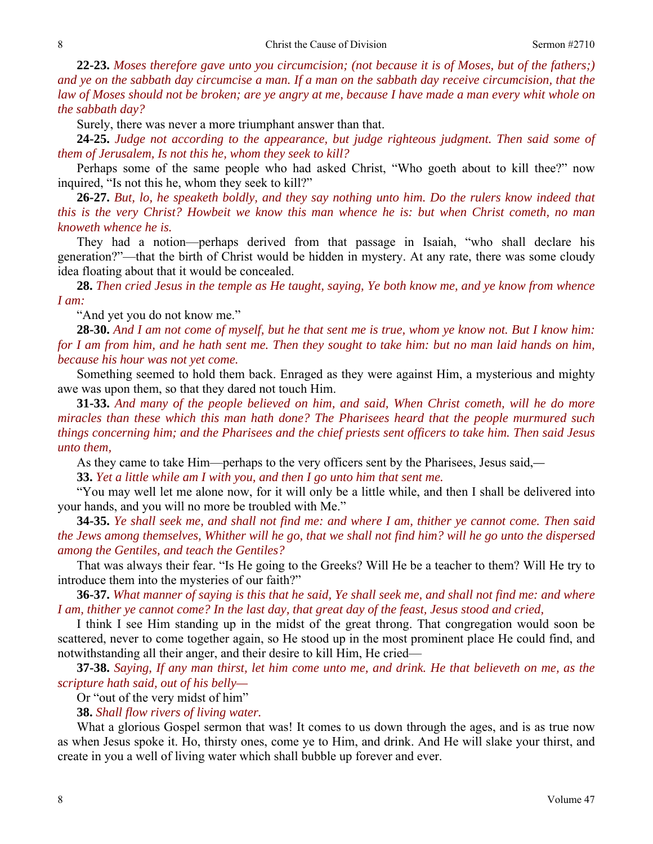**22-23.** *Moses therefore gave unto you circumcision; (not because it is of Moses, but of the fathers;) and ye on the sabbath day circumcise a man. If a man on the sabbath day receive circumcision, that the law of Moses should not be broken; are ye angry at me, because I have made a man every whit whole on the sabbath day?* 

Surely, there was never a more triumphant answer than that.

**24-25.** *Judge not according to the appearance, but judge righteous judgment. Then said some of them of Jerusalem, Is not this he, whom they seek to kill?* 

Perhaps some of the same people who had asked Christ, "Who goeth about to kill thee?" now inquired, "Is not this he, whom they seek to kill?"

**26-27.** *But, lo, he speaketh boldly, and they say nothing unto him. Do the rulers know indeed that this is the very Christ? Howbeit we know this man whence he is: but when Christ cometh, no man knoweth whence he is.* 

They had a notion—perhaps derived from that passage in Isaiah, "who shall declare his generation?"—that the birth of Christ would be hidden in mystery. At any rate, there was some cloudy idea floating about that it would be concealed.

**28.** *Then cried Jesus in the temple as He taught, saying, Ye both know me, and ye know from whence I am:* 

"And yet you do not know me."

**28-30.** *And I am not come of myself, but he that sent me is true, whom ye know not. But I know him: for I am from him, and he hath sent me. Then they sought to take him: but no man laid hands on him, because his hour was not yet come.* 

Something seemed to hold them back. Enraged as they were against Him, a mysterious and mighty awe was upon them, so that they dared not touch Him.

**31-33.** *And many of the people believed on him, and said, When Christ cometh, will he do more miracles than these which this man hath done? The Pharisees heard that the people murmured such things concerning him; and the Pharisees and the chief priests sent officers to take him. Then said Jesus unto them,* 

As they came to take Him—perhaps to the very officers sent by the Pharisees, Jesus said,*—*

**33.** *Yet a little while am I with you, and then I go unto him that sent me.* 

"You may well let me alone now, for it will only be a little while, and then I shall be delivered into your hands, and you will no more be troubled with Me."

**34-35.** *Ye shall seek me, and shall not find me: and where I am, thither ye cannot come. Then said the Jews among themselves, Whither will he go, that we shall not find him? will he go unto the dispersed among the Gentiles, and teach the Gentiles?* 

That was always their fear. "Is He going to the Greeks? Will He be a teacher to them? Will He try to introduce them into the mysteries of our faith?"

**36-37.** *What manner of saying is this that he said, Ye shall seek me, and shall not find me: and where I am, thither ye cannot come? In the last day, that great day of the feast, Jesus stood and cried,* 

I think I see Him standing up in the midst of the great throng. That congregation would soon be scattered, never to come together again, so He stood up in the most prominent place He could find, and notwithstanding all their anger, and their desire to kill Him, He cried—

**37-38.** *Saying, If any man thirst, let him come unto me, and drink. He that believeth on me, as the scripture hath said, out of his belly—* 

Or "out of the very midst of him"

**38.** *Shall flow rivers of living water.* 

What a glorious Gospel sermon that was! It comes to us down through the ages, and is as true now as when Jesus spoke it. Ho, thirsty ones, come ye to Him, and drink. And He will slake your thirst, and create in you a well of living water which shall bubble up forever and ever.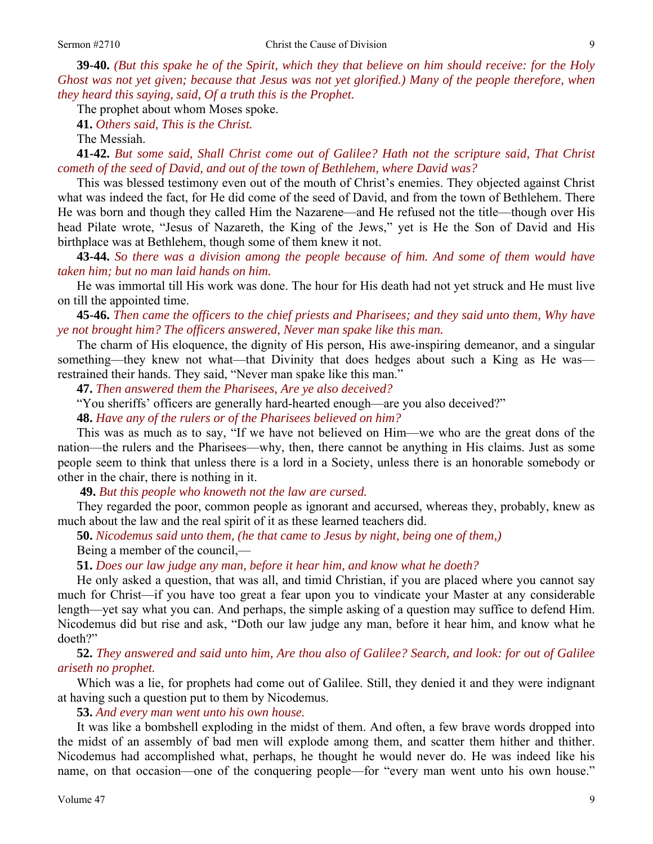**39-40.** *(But this spake he of the Spirit, which they that believe on him should receive: for the Holy Ghost was not yet given; because that Jesus was not yet glorified.) Many of the people therefore, when they heard this saying, said, Of a truth this is the Prophet.* 

The prophet about whom Moses spoke.

**41.** *Others said, This is the Christ.* 

The Messiah.

**41-42.** *But some said, Shall Christ come out of Galilee? Hath not the scripture said, That Christ cometh of the seed of David, and out of the town of Bethlehem, where David was?* 

This was blessed testimony even out of the mouth of Christ's enemies. They objected against Christ what was indeed the fact, for He did come of the seed of David, and from the town of Bethlehem. There He was born and though they called Him the Nazarene—and He refused not the title—though over His head Pilate wrote, "Jesus of Nazareth, the King of the Jews," yet is He the Son of David and His birthplace was at Bethlehem, though some of them knew it not.

**43-44.** *So there was a division among the people because of him. And some of them would have taken him; but no man laid hands on him.* 

He was immortal till His work was done. The hour for His death had not yet struck and He must live on till the appointed time.

**45-46.** *Then came the officers to the chief priests and Pharisees; and they said unto them, Why have ye not brought him? The officers answered, Never man spake like this man.* 

The charm of His eloquence, the dignity of His person, His awe-inspiring demeanor, and a singular something—they knew not what—that Divinity that does hedges about such a King as He was restrained their hands. They said, "Never man spake like this man."

**47.** *Then answered them the Pharisees, Are ye also deceived?* 

"You sheriffs' officers are generally hard-hearted enough—are you also deceived?"

**48.** *Have any of the rulers or of the Pharisees believed on him?* 

This was as much as to say, "If we have not believed on Him—we who are the great dons of the nation—the rulers and the Pharisees—why, then, there cannot be anything in His claims. Just as some people seem to think that unless there is a lord in a Society, unless there is an honorable somebody or other in the chair, there is nothing in it.

**49.** *But this people who knoweth not the law are cursed.* 

They regarded the poor, common people as ignorant and accursed, whereas they, probably, knew as much about the law and the real spirit of it as these learned teachers did.

**50.** *Nicodemus said unto them, (he that came to Jesus by night, being one of them,)* 

Being a member of the council,—

**51.** *Does our law judge any man, before it hear him, and know what he doeth?* 

He only asked a question, that was all, and timid Christian, if you are placed where you cannot say much for Christ—if you have too great a fear upon you to vindicate your Master at any considerable length—yet say what you can. And perhaps, the simple asking of a question may suffice to defend Him. Nicodemus did but rise and ask, "Doth our law judge any man, before it hear him, and know what he doeth?"

**52.** *They answered and said unto him, Are thou also of Galilee? Search, and look: for out of Galilee ariseth no prophet.* 

Which was a lie, for prophets had come out of Galilee. Still, they denied it and they were indignant at having such a question put to them by Nicodemus.

 **53.** *And every man went unto his own house.* 

It was like a bombshell exploding in the midst of them. And often, a few brave words dropped into the midst of an assembly of bad men will explode among them, and scatter them hither and thither. Nicodemus had accomplished what, perhaps, he thought he would never do. He was indeed like his name, on that occasion—one of the conquering people—for "every man went unto his own house."